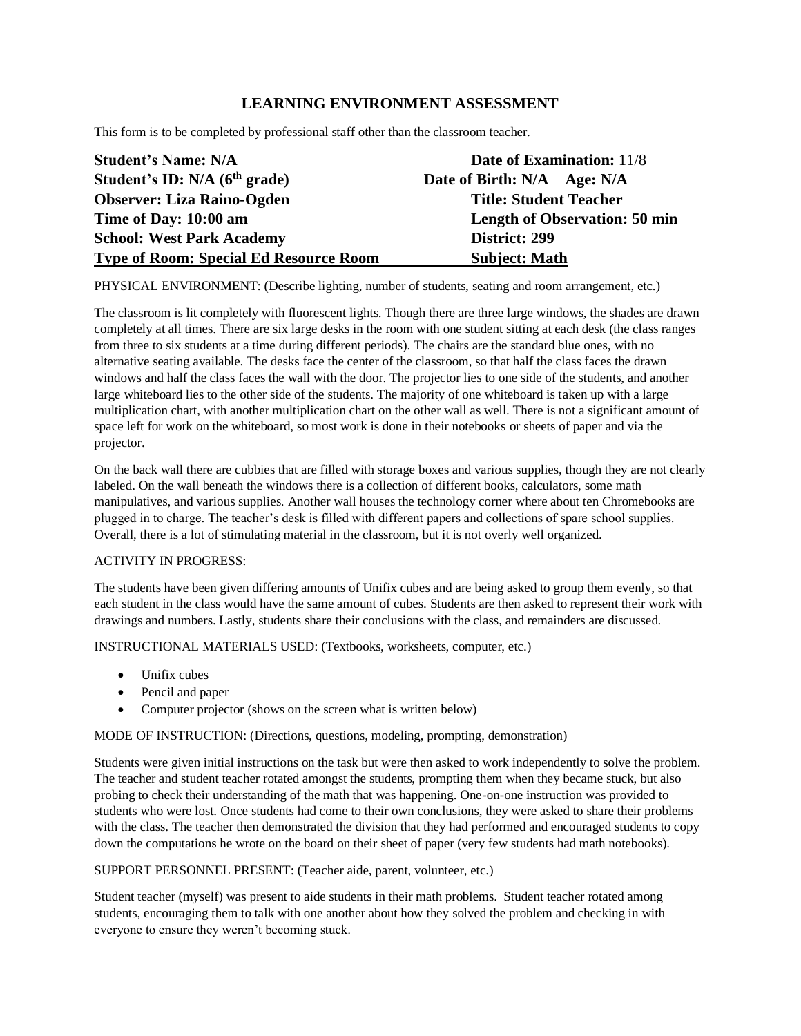# **LEARNING ENVIRONMENT ASSESSMENT**

This form is to be completed by professional staff other than the classroom teacher.

| <b>Student's Name: N/A</b>                    | <b>Date of Examination:</b> 11/8     |
|-----------------------------------------------|--------------------------------------|
| Student's ID: $N/A$ ( $6th$ grade)            | Date of Birth: N/A Age: N/A          |
| <b>Observer: Liza Raino-Ogden</b>             | <b>Title: Student Teacher</b>        |
| Time of Day: 10:00 am                         | <b>Length of Observation: 50 min</b> |
| <b>School: West Park Academy</b>              | District: 299                        |
| <b>Type of Room: Special Ed Resource Room</b> | <b>Subject: Math</b>                 |

PHYSICAL ENVIRONMENT: (Describe lighting, number of students, seating and room arrangement, etc.)

The classroom is lit completely with fluorescent lights. Though there are three large windows, the shades are drawn completely at all times. There are six large desks in the room with one student sitting at each desk (the class ranges from three to six students at a time during different periods). The chairs are the standard blue ones, with no alternative seating available. The desks face the center of the classroom, so that half the class faces the drawn windows and half the class faces the wall with the door. The projector lies to one side of the students, and another large whiteboard lies to the other side of the students. The majority of one whiteboard is taken up with a large multiplication chart, with another multiplication chart on the other wall as well. There is not a significant amount of space left for work on the whiteboard, so most work is done in their notebooks or sheets of paper and via the projector.

On the back wall there are cubbies that are filled with storage boxes and various supplies, though they are not clearly labeled. On the wall beneath the windows there is a collection of different books, calculators, some math manipulatives, and various supplies. Another wall houses the technology corner where about ten Chromebooks are plugged in to charge. The teacher's desk is filled with different papers and collections of spare school supplies. Overall, there is a lot of stimulating material in the classroom, but it is not overly well organized.

### ACTIVITY IN PROGRESS:

The students have been given differing amounts of Unifix cubes and are being asked to group them evenly, so that each student in the class would have the same amount of cubes. Students are then asked to represent their work with drawings and numbers. Lastly, students share their conclusions with the class, and remainders are discussed.

INSTRUCTIONAL MATERIALS USED: (Textbooks, worksheets, computer, etc.)

- Unifix cubes
- Pencil and paper
- Computer projector (shows on the screen what is written below)

MODE OF INSTRUCTION: (Directions, questions, modeling, prompting, demonstration)

Students were given initial instructions on the task but were then asked to work independently to solve the problem. The teacher and student teacher rotated amongst the students, prompting them when they became stuck, but also probing to check their understanding of the math that was happening. One-on-one instruction was provided to students who were lost. Once students had come to their own conclusions, they were asked to share their problems with the class. The teacher then demonstrated the division that they had performed and encouraged students to copy down the computations he wrote on the board on their sheet of paper (very few students had math notebooks).

### SUPPORT PERSONNEL PRESENT: (Teacher aide, parent, volunteer, etc.)

Student teacher (myself) was present to aide students in their math problems. Student teacher rotated among students, encouraging them to talk with one another about how they solved the problem and checking in with everyone to ensure they weren't becoming stuck.